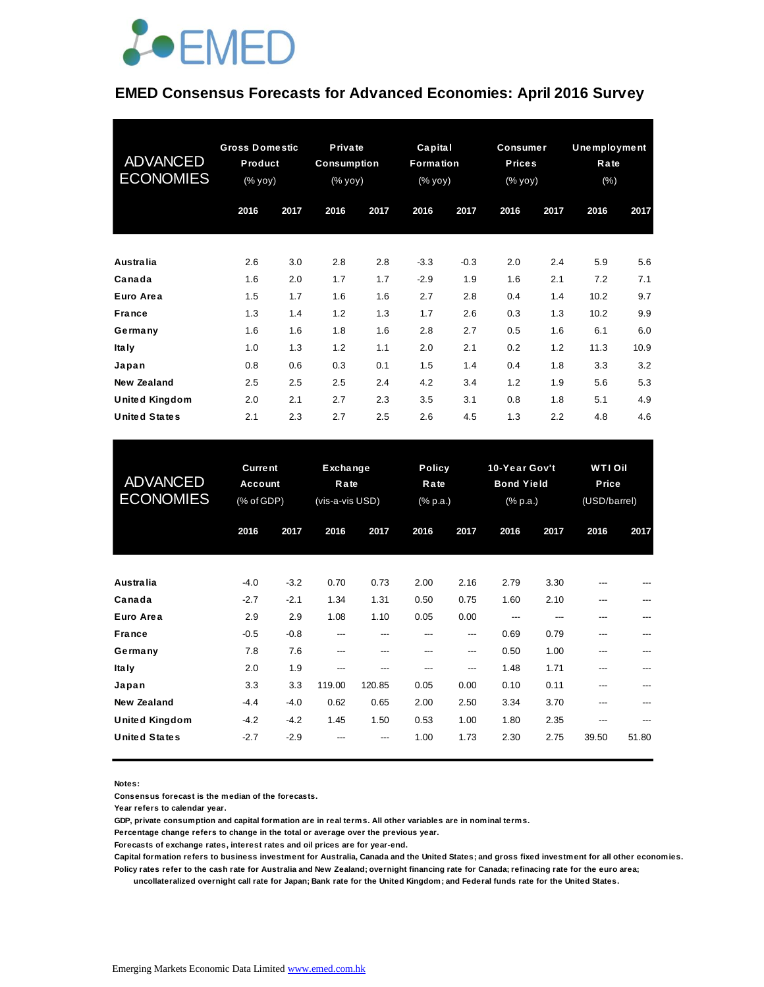

### **EMED Consensus Forecasts for Advanced Economies: April 2016 Survey**

| <b>ADVANCED</b><br><b>ECONOMIES</b> | <b>Gross Domestic</b><br>Product<br>(% yoy) |      | Private<br><b>Consumption</b><br>(% yoy) |      | Capital<br>Formation<br>(% yoy) |        | <b>Consumer</b><br><b>Prices</b><br>(% yoy) |      | Unemployment<br>Rate<br>(% ) |      |
|-------------------------------------|---------------------------------------------|------|------------------------------------------|------|---------------------------------|--------|---------------------------------------------|------|------------------------------|------|
|                                     | 2016                                        | 2017 | 2016                                     | 2017 | 2016                            | 2017   | 2016                                        | 2017 | 2016                         | 2017 |
| Australia                           | 2.6                                         | 3.0  | 2.8                                      | 2.8  | $-3.3$                          | $-0.3$ | 2.0                                         | 2.4  | 5.9                          | 5.6  |
| Canada                              | 1.6                                         | 2.0  | 1.7                                      | 1.7  | $-2.9$                          | 1.9    | 1.6                                         | 2.1  | 7.2                          | 7.1  |
| Euro Area                           | 1.5                                         | 1.7  | 1.6                                      | 1.6  | 2.7                             | 2.8    | 0.4                                         | 1.4  | 10.2                         | 9.7  |
| <b>France</b>                       | 1.3                                         | 1.4  | 1.2                                      | 1.3  | 1.7                             | 2.6    | 0.3                                         | 1.3  | 10.2                         | 9.9  |
| Germany                             | 1.6                                         | 1.6  | 1.8                                      | 1.6  | 2.8                             | 2.7    | 0.5                                         | 1.6  | 6.1                          | 6.0  |
| <b>Italy</b>                        | 1.0                                         | 1.3  | 1.2                                      | 1.1  | 2.0                             | 2.1    | 0.2                                         | 1.2  | 11.3                         | 10.9 |
| Japan                               | 0.8                                         | 0.6  | 0.3                                      | 0.1  | 1.5                             | 1.4    | 0.4                                         | 1.8  | 3.3                          | 3.2  |
| New Zealand                         | 2.5                                         | 2.5  | 2.5                                      | 2.4  | 4.2                             | 3.4    | 1.2                                         | 1.9  | 5.6                          | 5.3  |
| <b>United Kingdom</b>               | 2.0                                         | 2.1  | 2.7                                      | 2.3  | 3.5                             | 3.1    | 0.8                                         | 1.8  | 5.1                          | 4.9  |
| <b>United States</b>                | 2.1                                         | 2.3  | 2.7                                      | 2.5  | 2.6                             | 4.5    | 1.3                                         | 2.2  | 4.8                          | 4.6  |

| <b>United States</b>                 | 2.1                                            | 2.3              | 2.7                                 | 2.5           | 2.6                               | 4.5          | 1.3                                            | 2.2          | 4.8                                   | 4.6        |
|--------------------------------------|------------------------------------------------|------------------|-------------------------------------|---------------|-----------------------------------|--------------|------------------------------------------------|--------------|---------------------------------------|------------|
| <b>ADVANCED</b><br><b>ECONOMIES</b>  | <b>Current</b><br><b>Account</b><br>(% of GDP) |                  | Exchange<br>Rate<br>(vis-a-vis USD) |               | <b>Policy</b><br>Rate<br>(% p.a.) |              | 10-Year Gov't<br><b>Bond Yield</b><br>(% p.a.) |              | <b>WTIOI</b><br>Price<br>(USD/barrel) |            |
|                                      | 2016                                           | 2017             | 2016                                | 2017          | 2016                              | 2017         | 2016                                           | 2017         | 2016                                  | 2017       |
| <b>Australia</b>                     | $-4.0$                                         | $-3.2$           | 0.70                                | 0.73          | 2.00                              | 2.16         | 2.79                                           | 3.30         |                                       |            |
| Canada<br>Euro Area                  | $-2.7$<br>2.9                                  | $-2.1$<br>2.9    | 1.34<br>1.08                        | 1.31<br>1.10  | 0.50<br>0.05                      | 0.75<br>0.00 | 1.60<br>---                                    | 2.10<br>---  | ---<br>---                            |            |
| <b>France</b><br>Germany             | $-0.5$<br>7.8                                  | $-0.8$<br>7.6    | ---<br>---                          | ---<br>---    | ---<br>---                        | ---<br>---   | 0.69<br>0.50                                   | 0.79<br>1.00 | ---<br>---                            | ---        |
| <b>Italy</b><br>Japan                | 2.0<br>3.3                                     | 1.9<br>3.3       | ---<br>119.00                       | ---<br>120.85 | ---<br>0.05                       | ---<br>0.00  | 1.48<br>0.10                                   | 1.71<br>0.11 | ---<br>---                            | ---<br>--- |
| <b>New Zealand</b><br>United Kingdom | $-4.4$<br>$-4.2$                               | $-4.0$<br>$-4.2$ | 0.62<br>1.45                        | 0.65<br>1.50  | 2.00<br>0.53                      | 2.50<br>1.00 | 3.34<br>1.80                                   | 3.70<br>2.35 | ---<br>---                            |            |
| <b>United States</b>                 | $-2.7$                                         | $-2.9$           |                                     |               | 1.00                              | 1.73         | 2.30                                           | 2.75         | 39.50                                 | 51.80      |

**Notes:** 

**Consensus forecast is the median of the forecasts.**

**Year refers to calendar year.**

**GDP, private consumption and capital formation are in real terms. All other variables are in nominal terms.**

**Percentage change refers to change in the total or average over the previous year.**

**Forecasts of exchange rates, interest rates and oil prices are for year-end.**

**Capital formation refers to business investment for Australia, Canada and the United States; and gross fixed investment for all other economies. Policy rates refer to the cash rate for Australia and New Zealand; overnight financing rate for Canada; refinacing rate for the euro area;** 

 **uncollateralized overnight call rate for Japan; Bank rate for the United Kingdom; and Federal funds rate for the United States.**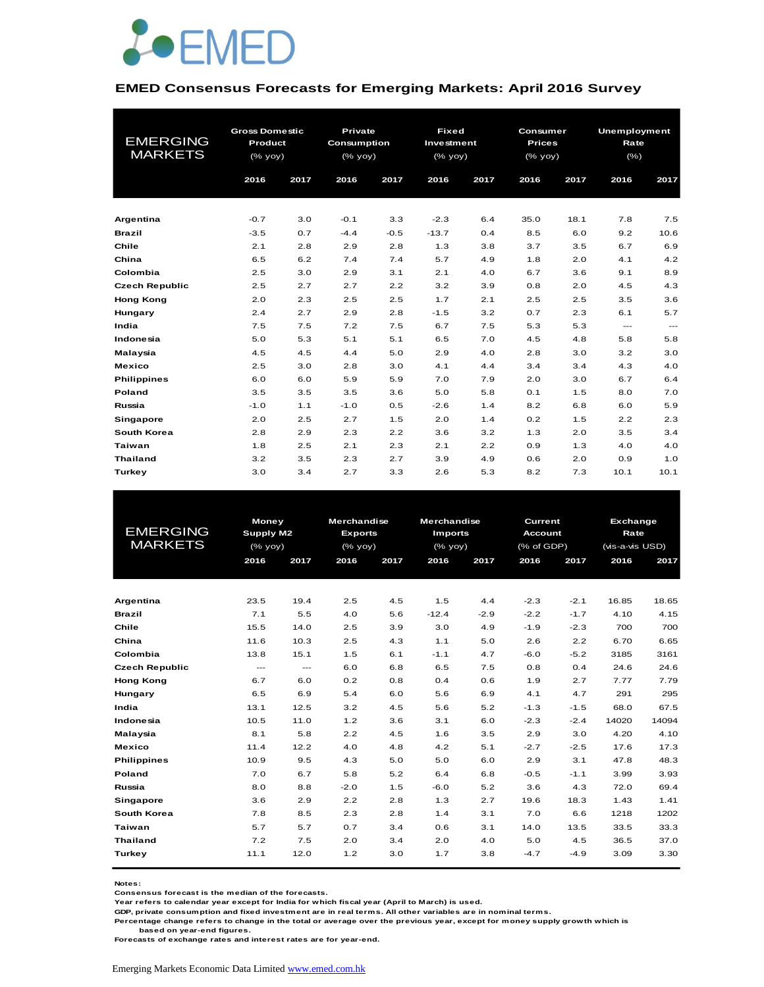

#### **EMED Consensus Forecasts for Emerging Markets: April 2016 Survey**

|                       | <b>Gross Domestic</b> |      | Private            |        | <b>Fixed</b><br><b>Consumer</b> |      |               |      | <b>Unemployment</b> |       |
|-----------------------|-----------------------|------|--------------------|--------|---------------------------------|------|---------------|------|---------------------|-------|
| <b>EMERGING</b>       | Product               |      | <b>Consumption</b> |        | Investment                      |      | <b>Prices</b> |      | Rate                |       |
| <b>MARKETS</b>        | $(%$ $\gamma$ yoy)    |      | (% yoy)            |        | (% yoy)                         |      | (% yoy)       |      | (% )                |       |
|                       | 2016                  | 2017 | 2016               | 2017   | 2016                            | 2017 | 2016          | 2017 | 2016                | 2017  |
|                       |                       |      |                    |        |                                 |      |               |      |                     |       |
|                       |                       |      |                    |        |                                 |      |               |      |                     |       |
| Argentina             | $-0.7$                | 3.0  | $-0.1$             | 3.3    | $-2.3$                          | 6.4  | 35.0          | 18.1 | 7.8                 | 7.5   |
| <b>Brazil</b>         | $-3.5$                | 0.7  | $-4.4$             | $-0.5$ | $-13.7$                         | 0.4  | 8.5           | 6.0  | 9.2                 | 10.6  |
| Chile                 | 2.1                   | 2.8  | 2.9                | 2.8    | 1.3                             | 3.8  | 3.7           | 3.5  | 6.7                 | 6.9   |
| China                 | 6.5                   | 6.2  | 7.4                | 7.4    | 5.7                             | 4.9  | 1.8           | 2.0  | 4.1                 | 4.2   |
| Colombia              | 2.5                   | 3.0  | 2.9                | 3.1    | 2.1                             | 4.0  | 6.7           | 3.6  | 9.1                 | 8.9   |
| <b>Czech Republic</b> | 2.5                   | 2.7  | 2.7                | 2.2    | 3.2                             | 3.9  | 0.8           | 2.0  | 4.5                 | 4.3   |
| <b>Hong Kong</b>      | 2.0                   | 2.3  | 2.5                | 2.5    | 1.7                             | 2.1  | 2.5           | 2.5  | 3.5                 | 3.6   |
| Hungary               | 2.4                   | 2.7  | 2.9                | 2.8    | $-1.5$                          | 3.2  | 0.7           | 2.3  | 6.1                 | 5.7   |
| India                 | 7.5                   | 7.5  | 7.2                | 7.5    | 6.7                             | 7.5  | 5.3           | 5.3  | $\cdots$            | $---$ |
| Indonesia             | 5.0                   | 5.3  | 5.1                | 5.1    | 6.5                             | 7.0  | 4.5           | 4.8  | 5.8                 | 5.8   |
| Malaysia              | 4.5                   | 4.5  | 4.4                | 5.0    | 2.9                             | 4.0  | 2.8           | 3.0  | 3.2                 | 3.0   |
| <b>Mexico</b>         | 2.5                   | 3.0  | 2.8                | 3.0    | 4.1                             | 4.4  | 3.4           | 3.4  | 4.3                 | 4.0   |
| <b>Philippines</b>    | 6.0                   | 6.0  | 5.9                | 5.9    | 7.0                             | 7.9  | 2.0           | 3.0  | 6.7                 | 6.4   |
| Poland                | 3.5                   | 3.5  | 3.5                | 3.6    | 5.0                             | 5.8  | 0.1           | 1.5  | 8.0                 | 7.0   |
| Russia                | $-1.0$                | 1.1  | $-1.0$             | 0.5    | $-2.6$                          | 1.4  | 8.2           | 6.8  | 6.0                 | 5.9   |
| <b>Singapore</b>      | 2.0                   | 2.5  | 2.7                | 1.5    | 2.0                             | 1.4  | 0.2           | 1.5  | 2.2                 | 2.3   |
| <b>South Korea</b>    | 2.8                   | 2.9  | 2.3                | 2.2    | 3.6                             | 3.2  | 1.3           | 2.0  | 3.5                 | 3.4   |
| <b>Taiwan</b>         | 1.8                   | 2.5  | 2.1                | 2.3    | 2.1                             | 2.2  | 0.9           | 1.3  | 4.0                 | 4.0   |
| <b>Thailand</b>       | 3.2                   | 3.5  | 2.3                | 2.7    | 3.9                             | 4.9  | 0.6           | 2.0  | 0.9                 | 1.0   |
| Turkey                | 3.0                   | 3.4  | 2.7                | 3.3    | 2.6                             | 5.3  | 8.2           | 7.3  | 10.1                | 10.1  |

|                       | Money     |               | <b>Merchandise</b> |      | <b>Merchandise</b> |        | Current        |        | <b>Exchange</b> |       |
|-----------------------|-----------|---------------|--------------------|------|--------------------|--------|----------------|--------|-----------------|-------|
| <b>EMERGING</b>       | Supply M2 |               | <b>Exports</b>     |      | <b>Imports</b>     |        | <b>Account</b> |        | Rate            |       |
| <b>MARKETS</b>        | (% yoy)   |               | (% yoy)            |      | (% yoy)            |        | (% of GDP)     |        | (vis-a-vis USD) |       |
|                       | 2016      | 2017          | 2016               | 2017 | 2016               | 2017   | 2016           | 2017   | 2016            | 2017  |
|                       |           |               |                    |      |                    |        |                |        |                 |       |
| Argentina             | 23.5      | 19.4          | 2.5                | 4.5  | 1.5                | 4.4    | $-2.3$         | $-2.1$ | 16.85           | 18.65 |
| Brazil                | 7.1       | 5.5           | 4.0                | 5.6  | $-12.4$            | $-2.9$ | $-2.2$         | $-1.7$ | 4.10            | 4.15  |
| Chile                 |           |               |                    |      |                    |        |                |        |                 |       |
|                       | 15.5      | 14.0          | 2.5                | 3.9  | 3.0                | 4.9    | $-1.9$         | $-2.3$ | 700             | 700   |
| China                 | 11.6      | 10.3          | 2.5                | 4.3  | 1.1                | 5.0    | 2.6            | 2.2    | 6.70            | 6.65  |
| Colombia              | 13.8      | 15.1          | 1.5                | 6.1  | $-1.1$             | 4.7    | $-6.0$         | $-5.2$ | 3185            | 3161  |
| <b>Czech Republic</b> | $---$     | $\frac{1}{2}$ | 6.0                | 6.8  | 6.5                | 7.5    | 0.8            | 0.4    | 24.6            | 24.6  |
| <b>Hong Kong</b>      | 6.7       | 6.0           | 0.2                | 0.8  | 0.4                | 0.6    | 1.9            | 2.7    | 7.77            | 7.79  |
| Hungary               | 6.5       | 6.9           | 5.4                | 6.0  | 5.6                | 6.9    | 4.1            | 4.7    | 291             | 295   |
| India                 | 13.1      | 12.5          | 3.2                | 4.5  | 5.6                | 5.2    | $-1.3$         | $-1.5$ | 68.0            | 67.5  |
| Indonesia             | 10.5      | 11.0          | 1.2                | 3.6  | 3.1                | 6.0    | $-2.3$         | $-2.4$ | 14020           | 14094 |
| Malaysia              | 8.1       | 5.8           | 2.2                | 4.5  | 1.6                | 3.5    | 2.9            | 3.0    | 4.20            | 4.10  |
| <b>Mexico</b>         | 11.4      | 12.2          | 4.0                | 4.8  | 4.2                | 5.1    | $-2.7$         | $-2.5$ | 17.6            | 17.3  |
| <b>Philippines</b>    | 10.9      | 9.5           | 4.3                | 5.0  | 5.0                | 6.0    | 2.9            | 3.1    | 47.8            | 48.3  |
| Poland                | 7.0       | 6.7           | 5.8                | 5.2  | 6.4                | 6.8    | $-0.5$         | $-1.1$ | 3.99            | 3.93  |
| Russia                | 8.0       | 8.8           | $-2.0$             | 1.5  | $-6.0$             | 5.2    | 3.6            | 4.3    | 72.0            | 69.4  |
| <b>Singapore</b>      | 3.6       | 2.9           | 2.2                | 2.8  | 1.3                | 2.7    | 19.6           | 18.3   | 1.43            | 1.41  |
| South Korea           | 7.8       | 8.5           | 2.3                | 2.8  | 1.4                | 3.1    | 7.0            | 6.6    | 1218            | 1202  |
| Taiwan                | 5.7       | 5.7           | 0.7                | 3.4  | 0.6                | 3.1    | 14.0           | 13.5   | 33.5            | 33.3  |
| <b>Thailand</b>       | 7.2       | 7.5           | 2.0                | 3.4  | 2.0                | 4.0    | 5.0            | 4.5    | 36.5            | 37.0  |
| <b>Turkey</b>         | 11.1      | 12.0          | 1.2                | 3.0  | 1.7                | 3.8    | $-4.7$         | $-4.9$ | 3.09            | 3.30  |
|                       |           |               |                    |      |                    |        |                |        |                 |       |

**Notes:** 

**Consensus forecast is the median of the forecasts.**

**Year refers to calendar year except for India for which fiscal year (April to March) is used. GDP, private consumption and fixed investment are in real terms. All other variables are in nominal terms.**

**Percentage change refers to change in the total or average over the previous year, except for money supply growth which is** 

 **based on year-end figures.**

**Forecasts of exchange rates and interest rates are for year-end.**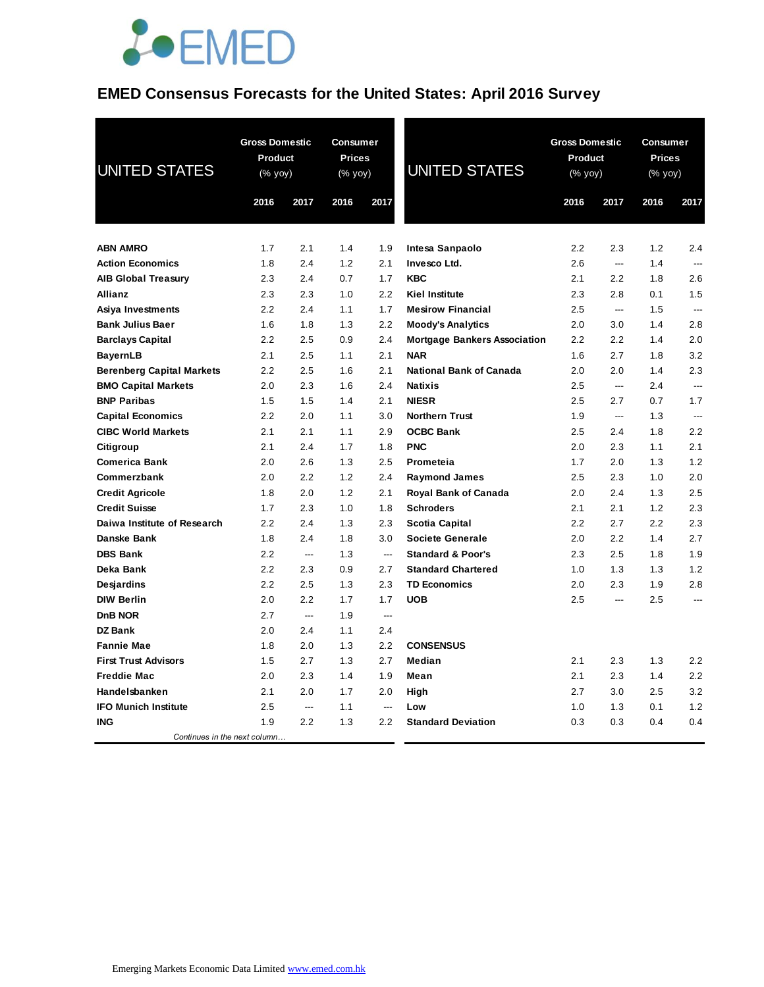

### **EMED Consensus Forecasts for the United States: April 2016 Survey**

| <b>UNITED STATES</b>             | <b>Gross Domestic</b><br>Product<br>(% yoy) |                | Consumer<br><b>Prices</b><br>(% yoy) |                          | <b>UNITED STATES</b>                | <b>Gross Domestic</b><br>Product<br>(% yoy) |      | Consumer<br><b>Prices</b><br>(% yoy) |                |
|----------------------------------|---------------------------------------------|----------------|--------------------------------------|--------------------------|-------------------------------------|---------------------------------------------|------|--------------------------------------|----------------|
|                                  | 2016                                        | 2017           | 2016                                 | 2017                     |                                     | 2016                                        | 2017 | 2016                                 | 2017           |
| <b>ABN AMRO</b>                  | 1.7                                         | 2.1            | 1.4                                  | 1.9                      | Intesa Sanpaolo                     | 2.2                                         | 2.3  | 1.2                                  | 2.4            |
| <b>Action Economics</b>          | 1.8                                         | 2.4            | 1.2                                  | 2.1                      | Invesco Ltd.                        | 2.6                                         | ---  | 1.4                                  |                |
| <b>AIB Global Treasury</b>       | 2.3                                         | 2.4            | 0.7                                  | 1.7                      | <b>KBC</b>                          | 2.1                                         | 2.2  | 1.8                                  | 2.6            |
| Allianz                          | 2.3                                         | 2.3            | 1.0                                  | 2.2                      | <b>Kiel Institute</b>               | 2.3                                         | 2.8  | 0.1                                  | 1.5            |
| Asiya Investments                | 2.2                                         | 2.4            | 1.1                                  | 1.7                      | <b>Mesirow Financial</b>            | 2.5                                         | ---  | 1.5                                  | $\overline{a}$ |
| <b>Bank Julius Baer</b>          | 1.6                                         | 1.8            | 1.3                                  | 2.2                      | <b>Moody's Analytics</b>            | 2.0                                         | 3.0  | 1.4                                  | 2.8            |
| <b>Barclays Capital</b>          | 2.2                                         | 2.5            | 0.9                                  | 2.4                      | <b>Mortgage Bankers Association</b> | 2.2                                         | 2.2  | 1.4                                  | 2.0            |
| <b>BayernLB</b>                  | 2.1                                         | 2.5            | 1.1                                  | 2.1                      | <b>NAR</b>                          | 1.6                                         | 2.7  | 1.8                                  | 3.2            |
| <b>Berenberg Capital Markets</b> | 2.2                                         | 2.5            | 1.6                                  | 2.1                      | <b>National Bank of Canada</b>      | 2.0                                         | 2.0  | 1.4                                  | 2.3            |
| <b>BMO Capital Markets</b>       | 2.0                                         | 2.3            | 1.6                                  | 2.4                      | <b>Natixis</b>                      | 2.5                                         | ---  | 2.4                                  | $\overline{a}$ |
| <b>BNP Paribas</b>               | 1.5                                         | 1.5            | 1.4                                  | 2.1                      | <b>NIESR</b>                        | $2.5\,$                                     | 2.7  | 0.7                                  | 1.7            |
| <b>Capital Economics</b>         | 2.2                                         | 2.0            | 1.1                                  | 3.0                      | <b>Northern Trust</b>               | 1.9                                         | ---  | 1.3                                  | ---            |
| <b>CIBC World Markets</b>        | 2.1                                         | 2.1            | 1.1                                  | 2.9                      | <b>OCBC Bank</b>                    | 2.5                                         | 2.4  | 1.8                                  | 2.2            |
| Citigroup                        | 2.1                                         | 2.4            | 1.7                                  | 1.8                      | <b>PNC</b>                          | 2.0                                         | 2.3  | 1.1                                  | 2.1            |
| <b>Comerica Bank</b>             | 2.0                                         | 2.6            | 1.3                                  | 2.5                      | Prometeia                           | 1.7                                         | 2.0  | 1.3                                  | 1.2            |
| Commerzbank                      | 2.0                                         | 2.2            | 1.2                                  | 2.4                      | <b>Raymond James</b>                | 2.5                                         | 2.3  | 1.0                                  | 2.0            |
| <b>Credit Agricole</b>           | 1.8                                         | 2.0            | 1.2                                  | 2.1                      | <b>Royal Bank of Canada</b>         | 2.0                                         | 2.4  | 1.3                                  | 2.5            |
| <b>Credit Suisse</b>             | 1.7                                         | 2.3            | 1.0                                  | 1.8                      | <b>Schroders</b>                    | 2.1                                         | 2.1  | 1.2                                  | 2.3            |
| Daiwa Institute of Research      | 2.2                                         | 2.4            | 1.3                                  | 2.3                      | Scotia Capital                      | 2.2                                         | 2.7  | 2.2                                  | 2.3            |
| Danske Bank                      | 1.8                                         | 2.4            | 1.8                                  | 3.0                      | <b>Societe Generale</b>             | 2.0                                         | 2.2  | 1.4                                  | 2.7            |
| <b>DBS Bank</b>                  | 2.2                                         | ---            | 1.3                                  | $\hspace{0.05cm} \ldots$ | <b>Standard &amp; Poor's</b>        | 2.3                                         | 2.5  | 1.8                                  | 1.9            |
| Deka Bank                        | 2.2                                         | 2.3            | 0.9                                  | 2.7                      | <b>Standard Chartered</b>           | 1.0                                         | 1.3  | 1.3                                  | 1.2            |
| Desjardins                       | 2.2                                         | 2.5            | 1.3                                  | 2.3                      | <b>TD Economics</b>                 | 2.0                                         | 2.3  | 1.9                                  | 2.8            |
| <b>DIW Berlin</b>                | 2.0                                         | 2.2            | 1.7                                  | 1.7                      | <b>UOB</b>                          | 2.5                                         | ---  | 2.5                                  | ---            |
| D <sub>n</sub> B NOR             | 2.7                                         | $\overline{a}$ | 1.9                                  | ---                      |                                     |                                             |      |                                      |                |
| <b>DZ Bank</b>                   | 2.0                                         | 2.4            | 1.1                                  | 2.4                      |                                     |                                             |      |                                      |                |
| <b>Fannie Mae</b>                | 1.8                                         | 2.0            | 1.3                                  | 2.2                      | <b>CONSENSUS</b>                    |                                             |      |                                      |                |
| <b>First Trust Advisors</b>      | 1.5                                         | 2.7            | 1.3                                  | 2.7                      | Median                              | 2.1                                         | 2.3  | 1.3                                  | 2.2            |
| <b>Freddie Mac</b>               | 2.0                                         | 2.3            | 1.4                                  | 1.9                      | Mean                                | 2.1                                         | 2.3  | 1.4                                  | 2.2            |
| Handelsbanken                    | 2.1                                         | 2.0            | 1.7                                  | 2.0                      | High                                | 2.7                                         | 3.0  | 2.5                                  | 3.2            |
| <b>IFO Munich Institute</b>      | 2.5                                         | ---            | 1.1                                  | $\overline{a}$           | Low                                 | 1.0                                         | 1.3  | 0.1                                  | 1.2            |
| <b>ING</b>                       | 1.9                                         | 2.2            | 1.3                                  | 2.2                      | <b>Standard Deviation</b>           | 0.3                                         | 0.3  | 0.4                                  | 0.4            |
| Continues in the next column     |                                             |                |                                      |                          |                                     |                                             |      |                                      |                |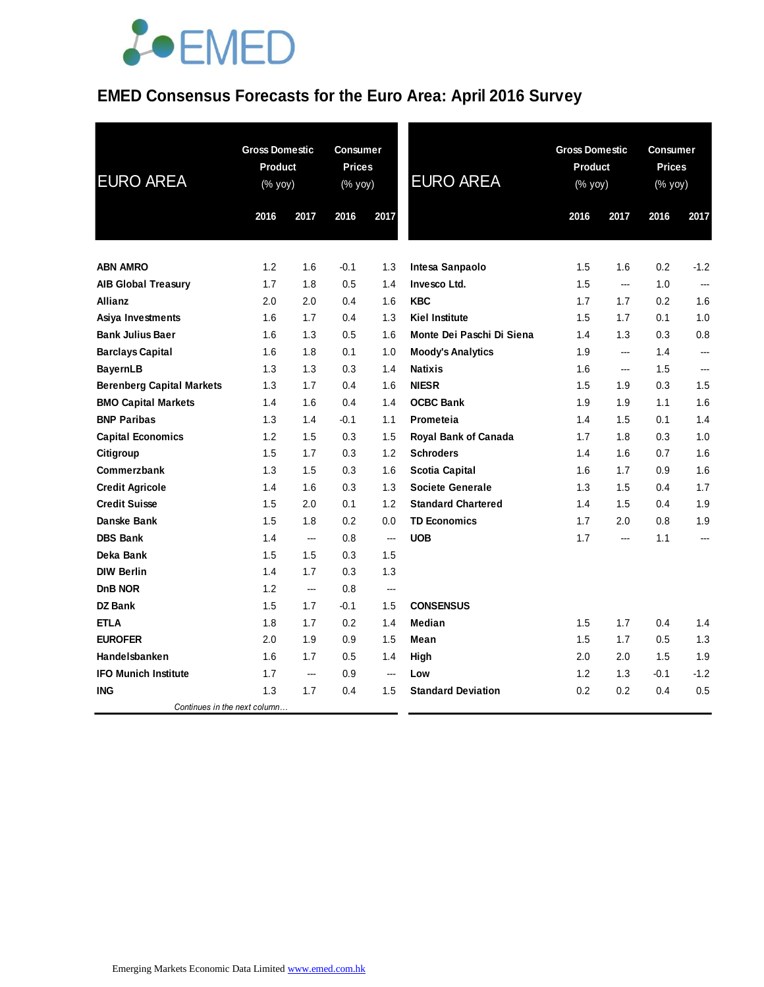# **JOEMED**

### **EMED Consensus Forecasts for the Euro Area: April 2016 Survey**

| <b>EURO AREA</b>                                    | <b>Gross Domestic</b><br><b>Product</b><br>(% yoy) |                | Consumer<br><b>Prices</b><br>(% yoy) |                | <b>EURO AREA</b>               | <b>Gross Domestic</b><br><b>Product</b><br>(% yoy) |                | <b>Consumer</b><br><b>Prices</b><br>(% yoy) |            |
|-----------------------------------------------------|----------------------------------------------------|----------------|--------------------------------------|----------------|--------------------------------|----------------------------------------------------|----------------|---------------------------------------------|------------|
|                                                     | 2016                                               | 2017           | 2016                                 | 2017           |                                | 2016                                               | 2017           | 2016                                        | 2017       |
|                                                     |                                                    |                |                                      |                |                                |                                                    |                |                                             |            |
| <b>ABN AMRO</b>                                     | 1.2                                                | 1.6            | $-0.1$                               | 1.3            | Intesa Sanpaolo                | 1.5                                                | 1.6            | 0.2                                         | $-1.2$     |
| <b>AIB Global Treasury</b>                          | 1.7                                                | 1.8            | 0.5                                  | 1.4            | Invesco Ltd.                   | 1.5                                                | ---            | 1.0                                         | ---        |
| <b>Allianz</b>                                      | 2.0                                                | 2.0            | 0.4                                  | 1.6            | <b>KBC</b>                     | 1.7                                                | 1.7            | 0.2                                         | 1.6        |
| Asiya Investments                                   | 1.6                                                | 1.7            | 0.4                                  | 1.3            | <b>Kiel Institute</b>          | 1.5                                                | 1.7            | 0.1                                         | 1.0        |
| <b>Bank Julius Baer</b>                             | 1.6                                                | 1.3            | 0.5                                  | 1.6            | Monte Dei Paschi Di Siena      | 1.4                                                | 1.3            | 0.3                                         | 0.8        |
| <b>Barclays Capital</b>                             | 1.6                                                | 1.8            | 0.1                                  | 1.0            | <b>Moody's Analytics</b>       | 1.9                                                | ---            | 1.4<br>1.5                                  | ---        |
| <b>BayernLB</b><br><b>Berenberg Capital Markets</b> | 1.3<br>1.3                                         | 1.3<br>1.7     | 0.3<br>0.4                           | 1.4<br>1.6     | <b>Natixis</b><br><b>NIESR</b> | 1.6<br>1.5                                         | ---            | 0.3                                         | ---<br>1.5 |
| <b>BMO Capital Markets</b>                          | 1.4                                                | 1.6            | 0.4                                  | 1.4            | <b>OCBC Bank</b>               | 1.9                                                | 1.9<br>1.9     | 1.1                                         | 1.6        |
| <b>BNP Paribas</b>                                  | 1.3                                                | 1.4            | $-0.1$                               | 1.1            | Prometeia                      | 1.4                                                | 1.5            | 0.1                                         | 1.4        |
| <b>Capital Economics</b>                            | 1.2                                                | 1.5            | 0.3                                  | 1.5            | Royal Bank of Canada           | 1.7                                                | 1.8            | 0.3                                         | 1.0        |
| Citigroup                                           | 1.5                                                | 1.7            | 0.3                                  | 1.2            | <b>Schroders</b>               | 1.4                                                | 1.6            | 0.7                                         | 1.6        |
| Commerzbank                                         | 1.3                                                | 1.5            | 0.3                                  | 1.6            | <b>Scotia Capital</b>          | 1.6                                                | 1.7            | 0.9                                         | 1.6        |
|                                                     | 1.4                                                | 1.6            | 0.3                                  | 1.3            | <b>Societe Generale</b>        | 1.3                                                | 1.5            | 0.4                                         | 1.7        |
| <b>Credit Agricole</b><br><b>Credit Suisse</b>      | 1.5                                                | 2.0            | 0.1                                  | 1.2            | <b>Standard Chartered</b>      | 1.4                                                | 1.5            | 0.4                                         | 1.9        |
| Danske Bank                                         | 1.5                                                | 1.8            | 0.2                                  | 0.0            | <b>TD Economics</b>            | 1.7                                                | 2.0            | 0.8                                         | 1.9        |
| <b>DBS Bank</b>                                     | 1.4                                                | $\overline{a}$ | 0.8                                  | $\overline{a}$ | <b>UOB</b>                     | 1.7                                                | $\overline{a}$ | 1.1                                         | ---        |
| Deka Bank                                           | 1.5                                                | 1.5            | 0.3                                  | 1.5            |                                |                                                    |                |                                             |            |
| <b>DIW Berlin</b>                                   | 1.4                                                | 1.7            | 0.3                                  | 1.3            |                                |                                                    |                |                                             |            |
| DnB NOR                                             | 1.2                                                | ---            | 0.8                                  | $---$          |                                |                                                    |                |                                             |            |
| <b>DZ Bank</b>                                      | 1.5                                                | 1.7            | $-0.1$                               | 1.5            | <b>CONSENSUS</b>               |                                                    |                |                                             |            |
| <b>ETLA</b>                                         | 1.8                                                | 1.7            | 0.2                                  | 1.4            | Median                         | 1.5                                                | 1.7            | 0.4                                         | 1.4        |
| <b>EUROFER</b>                                      | 2.0                                                |                |                                      | 1.5            | Mean                           | 1.5                                                |                | 0.5                                         | 1.3        |
| Handelsbanken                                       | 1.6                                                | 1.9<br>1.7     | 0.9<br>0.5                           |                |                                | 2.0                                                | 1.7<br>2.0     | 1.5                                         | 1.9        |
| <b>IFO Munich Institute</b>                         | 1.7                                                | $---$          | 0.9                                  | 1.4<br>$---$   | High<br>Low                    | 1.2                                                | 1.3            | $-0.1$                                      | $-1.2$     |
| <b>ING</b>                                          | 1.3                                                | 1.7            | 0.4                                  | 1.5            | <b>Standard Deviation</b>      | 0.2                                                | 0.2            | 0.4                                         | 0.5        |
| Continues in the next column                        |                                                    |                |                                      |                |                                |                                                    |                |                                             |            |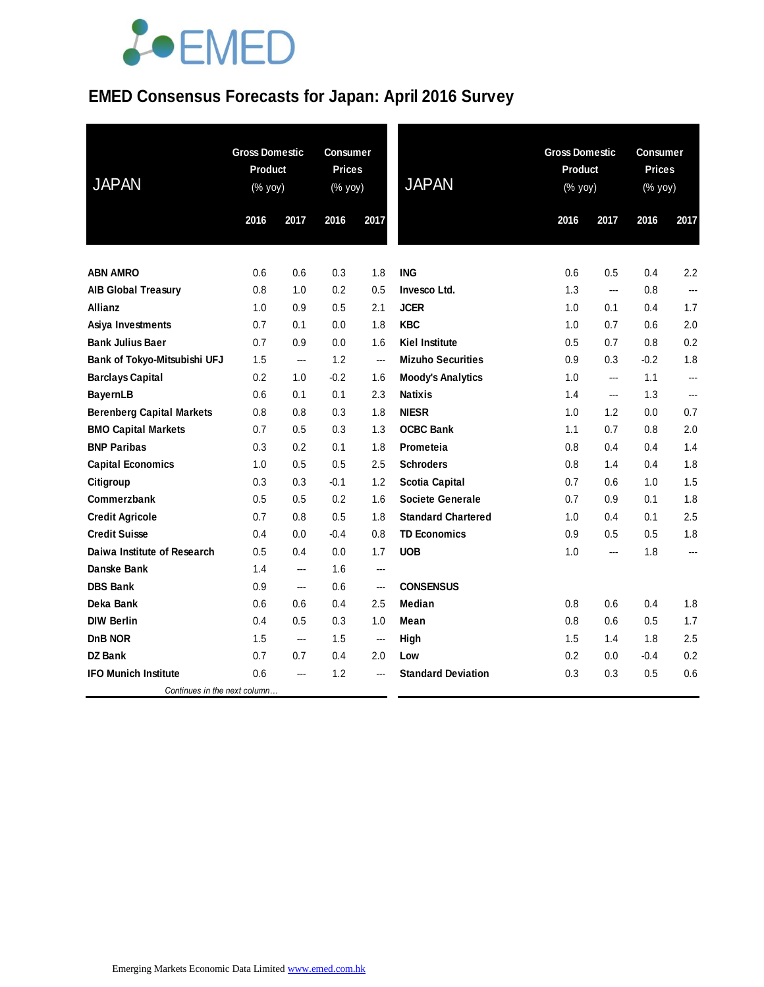# **JOEMED**

## **EMED Consensus Forecasts for Japan: April 2016 Survey**

| <b>JAPAN</b>                     | <b>Gross Domestic</b><br><b>Product</b><br>$(% \mathsf{Y}^{\prime }\mathsf{Y}^{\prime }\mathsf{Y}^{\prime })$ |      | <b>Consumer</b><br><b>Prices</b><br>(% yoy) |      | <b>JAPAN</b>              |      | <b>Gross Domestic</b><br><b>Product</b><br>(% yoy) |        | Consumer<br><b>Prices</b><br>(% yoy) |  |
|----------------------------------|---------------------------------------------------------------------------------------------------------------|------|---------------------------------------------|------|---------------------------|------|----------------------------------------------------|--------|--------------------------------------|--|
|                                  | 2016                                                                                                          | 2017 | 2016                                        | 2017 |                           | 2016 | 2017                                               | 2016   | 2017                                 |  |
| <b>ABN AMRO</b>                  | 0.6                                                                                                           | 0.6  | 0.3                                         | 1.8  | <b>ING</b>                | 0.6  | 0.5                                                | 0.4    | 2.2                                  |  |
| <b>AIB Global Treasury</b>       | 0.8                                                                                                           | 1.0  | 0.2                                         | 0.5  | Invesco Ltd.              | 1.3  | ---                                                | 0.8    | ---                                  |  |
| Allianz                          | 1.0                                                                                                           | 0.9  | 0.5                                         | 2.1  | <b>JCER</b>               | 1.0  | 0.1                                                | 0.4    | 1.7                                  |  |
| Asiya Investments                | 0.7                                                                                                           | 0.1  | 0.0                                         | 1.8  | <b>KBC</b>                | 1.0  | 0.7                                                | 0.6    | 2.0                                  |  |
| <b>Bank Julius Baer</b>          | 0.7                                                                                                           | 0.9  | 0.0                                         | 1.6  | <b>Kiel Institute</b>     | 0.5  | 0.7                                                | 0.8    | 0.2                                  |  |
| Bank of Tokyo-Mitsubishi UFJ     | 1.5                                                                                                           | ---  | 1.2                                         | ---  | <b>Mizuho Securities</b>  | 0.9  | 0.3                                                | $-0.2$ | 1.8                                  |  |
| <b>Barclays Capital</b>          | 0.2                                                                                                           | 1.0  | $-0.2$                                      | 1.6  | <b>Moody's Analytics</b>  | 1.0  | ---                                                | 1.1    | ---                                  |  |
| <b>BayernLB</b>                  | 0.6                                                                                                           | 0.1  | 0.1                                         | 2.3  | <b>Natixis</b>            | 1.4  | ---                                                | 1.3    | ---                                  |  |
| <b>Berenberg Capital Markets</b> | 0.8                                                                                                           | 0.8  | 0.3                                         | 1.8  | <b>NIESR</b>              | 1.0  | 1.2                                                | 0.0    | 0.7                                  |  |
| <b>BMO Capital Markets</b>       | 0.7                                                                                                           | 0.5  | 0.3                                         | 1.3  | <b>OCBC Bank</b>          | 1.1  | 0.7                                                | 0.8    | 2.0                                  |  |
| <b>BNP Paribas</b>               | 0.3                                                                                                           | 0.2  | 0.1                                         | 1.8  | Prometeia                 | 0.8  | 0.4                                                | 0.4    | 1.4                                  |  |
| <b>Capital Economics</b>         | 1.0                                                                                                           | 0.5  | 0.5                                         | 2.5  | <b>Schroders</b>          | 0.8  | 1.4                                                | 0.4    | 1.8                                  |  |
| Citigroup                        | 0.3                                                                                                           | 0.3  | $-0.1$                                      | 1.2  | <b>Scotia Capital</b>     | 0.7  | 0.6                                                | 1.0    | 1.5                                  |  |
| Commerzbank                      | 0.5                                                                                                           | 0.5  | 0.2                                         | 1.6  | <b>Societe Generale</b>   | 0.7  | 0.9                                                | 0.1    | 1.8                                  |  |
| <b>Credit Agricole</b>           | 0.7                                                                                                           | 0.8  | 0.5                                         | 1.8  | <b>Standard Chartered</b> | 1.0  | 0.4                                                | 0.1    | 2.5                                  |  |
| <b>Credit Suisse</b>             | 0.4                                                                                                           | 0.0  | $-0.4$                                      | 0.8  | <b>TD Economics</b>       | 0.9  | 0.5                                                | 0.5    | 1.8                                  |  |
| Daiwa Institute of Research      | 0.5                                                                                                           | 0.4  | 0.0                                         | 1.7  | <b>UOB</b>                | 1.0  | ---                                                | 1.8    | ---                                  |  |
| Danske Bank                      | 1.4                                                                                                           | ---  | 1.6                                         | ---  |                           |      |                                                    |        |                                      |  |
| <b>DBS Bank</b>                  | 0.9                                                                                                           | ---  | 0.6                                         | ---  | <b>CONSENSUS</b>          |      |                                                    |        |                                      |  |
| Deka Bank                        | 0.6                                                                                                           | 0.6  | 0.4                                         | 2.5  | Median                    | 0.8  | 0.6                                                | 0.4    | 1.8                                  |  |
| <b>DIW Berlin</b>                | 0.4                                                                                                           | 0.5  | 0.3                                         | 1.0  | Mean                      | 0.8  | 0.6                                                | 0.5    | 1.7                                  |  |
| DnB NOR                          | 1.5                                                                                                           | ---  | 1.5                                         | ---  | High                      | 1.5  | 1.4                                                | 1.8    | 2.5                                  |  |
| <b>DZ Bank</b>                   | 0.7                                                                                                           | 0.7  | 0.4                                         | 2.0  | Low                       | 0.2  | 0.0                                                | $-0.4$ | 0.2                                  |  |
| <b>IFO Munich Institute</b>      | 0.6                                                                                                           | ---  | 1.2                                         |      | <b>Standard Deviation</b> | 0.3  | 0.3                                                | 0.5    | 0.6                                  |  |
| Continues in the next column     |                                                                                                               |      |                                             |      |                           |      |                                                    |        |                                      |  |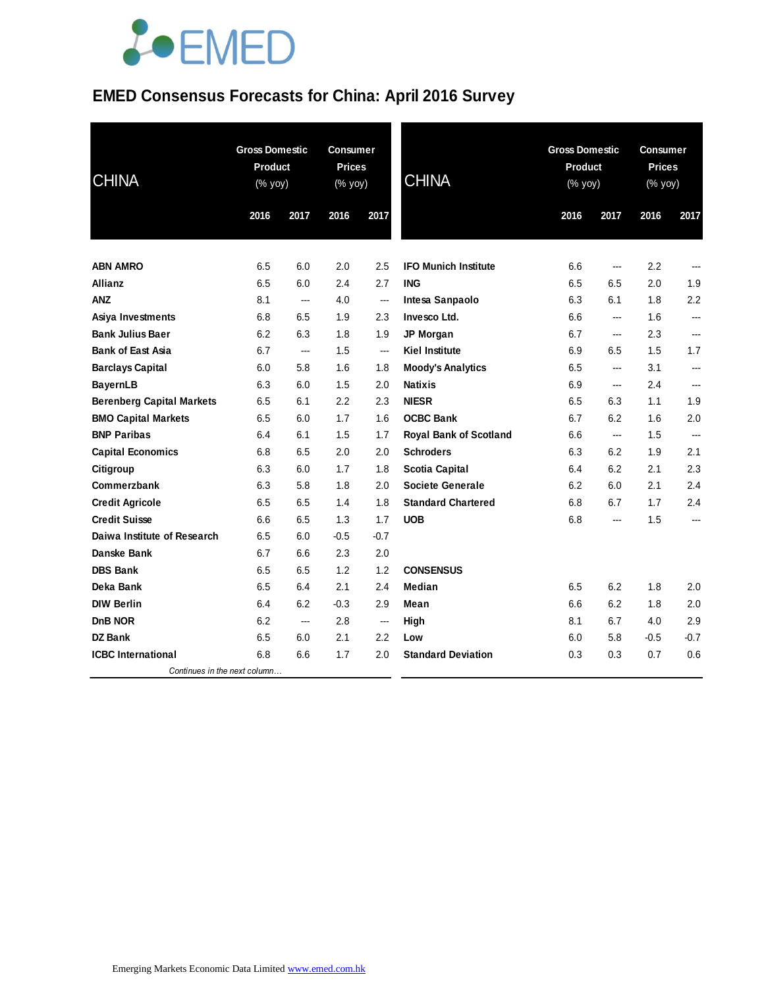# **JOEMED**

## **EMED Consensus Forecasts for China: April 2016 Survey**

| <b>CHINA</b>                     |      | <b>Gross Domestic</b><br><b>Product</b><br>(% yoy) |        | <b>Consumer</b><br><b>Prices</b><br>(% yoy) | <b>CHINA</b>                  | <b>Gross Domestic</b><br><b>Product</b><br>(% yoy) |        | Consumer<br><b>Prices</b><br>(% yoy) |        |
|----------------------------------|------|----------------------------------------------------|--------|---------------------------------------------|-------------------------------|----------------------------------------------------|--------|--------------------------------------|--------|
|                                  | 2016 | 2017                                               | 2016   | 2017                                        |                               | 2016                                               | 2017   | 2016                                 | 2017   |
|                                  |      |                                                    |        |                                             |                               |                                                    |        |                                      |        |
| <b>ABN AMRO</b>                  | 6.5  | 6.0                                                | 2.0    | 2.5                                         | <b>IFO Munich Institute</b>   | 6.6                                                | $\sim$ | 2.2                                  |        |
| Allianz                          | 6.5  | 6.0                                                | 2.4    | 2.7                                         | <b>ING</b>                    | 6.5                                                | 6.5    | 2.0                                  | 1.9    |
| <b>ANZ</b>                       | 8.1  | ---                                                | 4.0    | ---                                         | Intesa Sanpaolo               | 6.3                                                | 6.1    | 1.8                                  | 2.2    |
| Asiya Investments                | 6.8  | 6.5                                                | 1.9    | 2.3                                         | Invesco Ltd.                  | 6.6                                                | ---    | 1.6                                  | ---    |
| <b>Bank Julius Baer</b>          | 6.2  | 6.3                                                | 1.8    | 1.9                                         | JP Morgan                     | 6.7                                                | ---    | 2.3                                  | ---    |
| <b>Bank of East Asia</b>         | 6.7  | ---                                                | 1.5    | ---                                         | Kiel Institute                | 6.9                                                | 6.5    | 1.5                                  | 1.7    |
| <b>Barclays Capital</b>          | 6.0  | 5.8                                                | 1.6    | 1.8                                         | <b>Moody's Analytics</b>      | 6.5                                                | ---    | 3.1                                  | ---    |
| <b>BayernLB</b>                  | 6.3  | 6.0                                                | 1.5    | 2.0                                         | <b>Natixis</b>                | 6.9                                                | ---    | 2.4                                  | ---    |
| <b>Berenberg Capital Markets</b> | 6.5  | 6.1                                                | 2.2    | 2.3                                         | <b>NIESR</b>                  | 6.5                                                | 6.3    | 1.1                                  | 1.9    |
| <b>BMO Capital Markets</b>       | 6.5  | 6.0                                                | 1.7    | 1.6                                         | <b>OCBC Bank</b>              | 6.7                                                | 6.2    | 1.6                                  | 2.0    |
| <b>BNP Paribas</b>               | 6.4  | 6.1                                                | 1.5    | 1.7                                         | <b>Royal Bank of Scotland</b> | 6.6                                                | ---    | 1.5                                  | ---    |
| <b>Capital Economics</b>         | 6.8  | 6.5                                                | 2.0    | 2.0                                         | <b>Schroders</b>              | 6.3                                                | 6.2    | 1.9                                  | 2.1    |
| Citigroup                        | 6.3  | 6.0                                                | 1.7    | 1.8                                         | <b>Scotia Capital</b>         | 6.4                                                | 6.2    | 2.1                                  | 2.3    |
| Commerzbank                      | 6.3  | 5.8                                                | 1.8    | 2.0                                         | <b>Societe Generale</b>       | 6.2                                                | 6.0    | 2.1                                  | 2.4    |
| <b>Credit Agricole</b>           | 6.5  | 6.5                                                | 1.4    | 1.8                                         | <b>Standard Chartered</b>     | 6.8                                                | 6.7    | 1.7                                  | 2.4    |
| <b>Credit Suisse</b>             | 6.6  | 6.5                                                | 1.3    | 1.7                                         | <b>UOB</b>                    | 6.8                                                | ---    | 1.5                                  | ---    |
| Daiwa Institute of Research      | 6.5  | 6.0                                                | $-0.5$ | $-0.7$                                      |                               |                                                    |        |                                      |        |
| Danske Bank                      | 6.7  | 6.6                                                | 2.3    | 2.0                                         |                               |                                                    |        |                                      |        |
| <b>DBS Bank</b>                  | 6.5  | 6.5                                                | 1.2    | 1.2                                         | <b>CONSENSUS</b>              |                                                    |        |                                      |        |
| Deka Bank                        | 6.5  | 6.4                                                | 2.1    | 2.4                                         | <b>Median</b>                 | 6.5                                                | 6.2    | 1.8                                  | 2.0    |
| <b>DIW Berlin</b>                | 6.4  | 6.2                                                | $-0.3$ | 2.9                                         | Mean                          | 6.6                                                | 6.2    | 1.8                                  | 2.0    |
| <b>DnB NOR</b>                   | 6.2  | ---                                                | 2.8    | $\overline{\phantom{a}}$                    | High                          | 8.1                                                | 6.7    | 4.0                                  | 2.9    |
| <b>DZ Bank</b>                   | 6.5  | 6.0                                                | 2.1    | 2.2                                         | Low                           | 6.0                                                | 5.8    | $-0.5$                               | $-0.7$ |
| <b>ICBC</b> International        | 6.8  | 6.6                                                | 1.7    | 2.0                                         | <b>Standard Deviation</b>     | 0.3                                                | 0.3    | 0.7                                  | 0.6    |
| Continues in the next column     |      |                                                    |        |                                             |                               |                                                    |        |                                      |        |